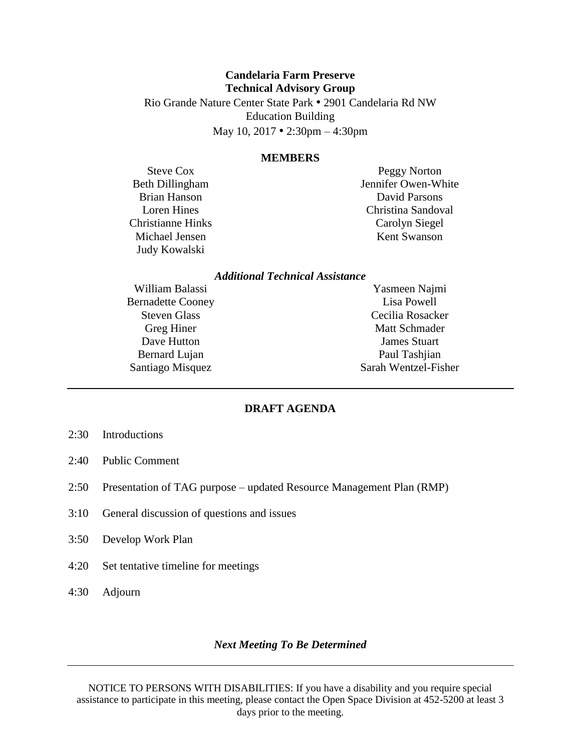# **Candelaria Farm Preserve Technical Advisory Group** Rio Grande Nature Center State Park • 2901 Candelaria Rd NW

Education Building

May 10, 2017 • 2:30pm – 4:30pm

#### **MEMBERS**

Steve Cox Beth Dillingham Brian Hanson Loren Hines Christianne Hinks Michael Jensen Judy Kowalski

Peggy Norton Jennifer Owen-White David Parsons Christina Sandoval Carolyn Siegel Kent Swanson

### *Additional Technical Assistance*

William Balassi Bernadette Cooney Steven Glass Greg Hiner Dave Hutton Bernard Lujan Santiago Misquez

Yasmeen Najmi Lisa Powell Cecilia Rosacker Matt Schmader James Stuart Paul Tashjian Sarah Wentzel-Fisher

# **DRAFT AGENDA**

- 2:30 Introductions
- 2:40 Public Comment
- 2:50 Presentation of TAG purpose updated Resource Management Plan (RMP)
- 3:10 General discussion of questions and issues
- 3:50 Develop Work Plan
- 4:20 Set tentative timeline for meetings
- 4:30 Adjourn

#### *Next Meeting To Be Determined*

NOTICE TO PERSONS WITH DISABILITIES: If you have a disability and you require special assistance to participate in this meeting, please contact the Open Space Division at 452-5200 at least 3 days prior to the meeting.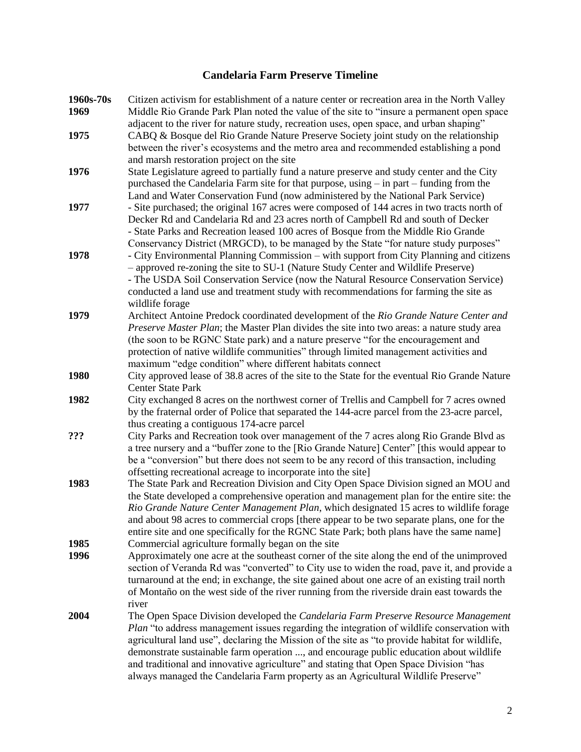# **Candelaria Farm Preserve Timeline**

| 1960s-70s | Citizen activism for establishment of a nature center or recreation area in the North Valley      |
|-----------|---------------------------------------------------------------------------------------------------|
| 1969      | Middle Rio Grande Park Plan noted the value of the site to "insure a permanent open space         |
|           | adjacent to the river for nature study, recreation uses, open space, and urban shaping"           |
| 1975      | CABQ & Bosque del Rio Grande Nature Preserve Society joint study on the relationship              |
|           | between the river's ecosystems and the metro area and recommended establishing a pond             |
|           | and marsh restoration project on the site                                                         |
| 1976      | State Legislature agreed to partially fund a nature preserve and study center and the City        |
|           | purchased the Candelaria Farm site for that purpose, using – in part – funding from the           |
|           | Land and Water Conservation Fund (now administered by the National Park Service)                  |
| 1977      | - Site purchased; the original 167 acres were composed of 144 acres in two tracts north of        |
|           | Decker Rd and Candelaria Rd and 23 acres north of Campbell Rd and south of Decker                 |
|           | - State Parks and Recreation leased 100 acres of Bosque from the Middle Rio Grande                |
|           | Conservancy District (MRGCD), to be managed by the State "for nature study purposes"              |
| 1978      | - City Environmental Planning Commission – with support from City Planning and citizens           |
|           | - approved re-zoning the site to SU-1 (Nature Study Center and Wildlife Preserve)                 |
|           | - The USDA Soil Conservation Service (now the Natural Resource Conservation Service)              |
|           | conducted a land use and treatment study with recommendations for farming the site as             |
|           | wildlife forage                                                                                   |
| 1979      | Architect Antoine Predock coordinated development of the Rio Grande Nature Center and             |
|           | Preserve Master Plan; the Master Plan divides the site into two areas: a nature study area        |
|           | (the soon to be RGNC State park) and a nature preserve "for the encouragement and                 |
|           | protection of native wildlife communities" through limited management activities and              |
|           | maximum "edge condition" where different habitats connect                                         |
| 1980      | City approved lease of 38.8 acres of the site to the State for the eventual Rio Grande Nature     |
|           | <b>Center State Park</b>                                                                          |
| 1982      | City exchanged 8 acres on the northwest corner of Trellis and Campbell for 7 acres owned          |
|           | by the fraternal order of Police that separated the 144-acre parcel from the 23-acre parcel,      |
|           | thus creating a contiguous 174-acre parcel                                                        |
| ???       | City Parks and Recreation took over management of the 7 acres along Rio Grande Blvd as            |
|           | a tree nursery and a "buffer zone to the [Rio Grande Nature] Center" [this would appear to        |
|           | be a "conversion" but there does not seem to be any record of this transaction, including         |
|           | offsetting recreational acreage to incorporate into the site]                                     |
| 1983      | The State Park and Recreation Division and City Open Space Division signed an MOU and             |
|           | the State developed a comprehensive operation and management plan for the entire site: the        |
|           | Rio Grande Nature Center Management Plan, which designated 15 acres to wildlife forage            |
|           | and about 98 acres to commercial crops [there appear to be two separate plans, one for the        |
|           | entire site and one specifically for the RGNC State Park; both plans have the same name           |
| 1985      | Commercial agriculture formally began on the site                                                 |
| 1996      | Approximately one acre at the southeast corner of the site along the end of the unimproved        |
|           | section of Veranda Rd was "converted" to City use to widen the road, pave it, and provide a       |
|           | turnaround at the end; in exchange, the site gained about one acre of an existing trail north     |
|           | of Montaño on the west side of the river running from the riverside drain east towards the        |
|           | river                                                                                             |
| 2004      | The Open Space Division developed the Candelaria Farm Preserve Resource Management                |
|           | <i>Plan</i> "to address management issues regarding the integration of wildlife conservation with |
|           | agricultural land use", declaring the Mission of the site as "to provide habitat for wildlife,    |
|           | demonstrate sustainable farm operation , and encourage public education about wildlife            |
|           | and traditional and innovative agriculture" and stating that Open Space Division "has             |
|           | always managed the Candelaria Farm property as an Agricultural Wildlife Preserve"                 |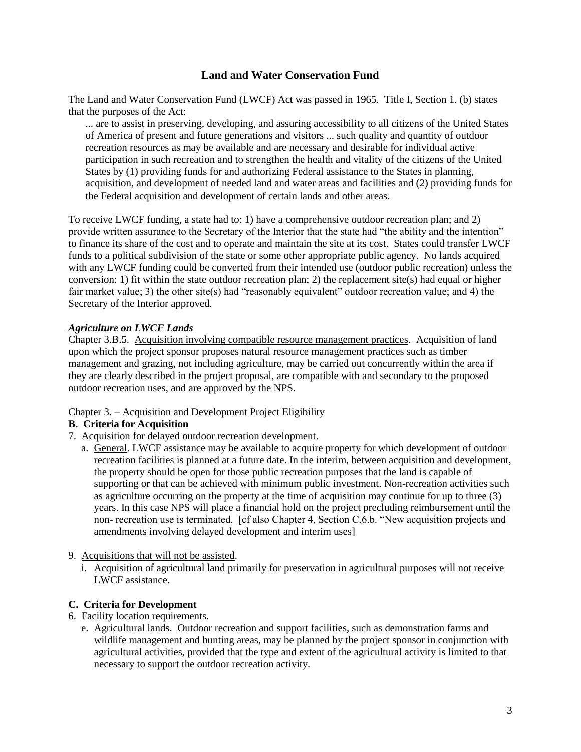# **Land and Water Conservation Fund**

The Land and Water Conservation Fund (LWCF) Act was passed in 1965. Title I, Section 1. (b) states that the purposes of the Act:

... are to assist in preserving, developing, and assuring accessibility to all citizens of the United States of America of present and future generations and visitors ... such quality and quantity of outdoor recreation resources as may be available and are necessary and desirable for individual active participation in such recreation and to strengthen the health and vitality of the citizens of the United States by (1) providing funds for and authorizing Federal assistance to the States in planning, acquisition, and development of needed land and water areas and facilities and (2) providing funds for the Federal acquisition and development of certain lands and other areas.

To receive LWCF funding, a state had to: 1) have a comprehensive outdoor recreation plan; and 2) provide written assurance to the Secretary of the Interior that the state had "the ability and the intention" to finance its share of the cost and to operate and maintain the site at its cost. States could transfer LWCF funds to a political subdivision of the state or some other appropriate public agency. No lands acquired with any LWCF funding could be converted from their intended use (outdoor public recreation) unless the conversion: 1) fit within the state outdoor recreation plan; 2) the replacement site(s) had equal or higher fair market value; 3) the other site(s) had "reasonably equivalent" outdoor recreation value; and 4) the Secretary of the Interior approved.

#### *Agriculture on LWCF Lands*

Chapter 3.B.5. Acquisition involving compatible resource management practices. Acquisition of land upon which the project sponsor proposes natural resource management practices such as timber management and grazing, not including agriculture, may be carried out concurrently within the area if they are clearly described in the project proposal, are compatible with and secondary to the proposed outdoor recreation uses, and are approved by the NPS.

#### Chapter 3. – Acquisition and Development Project Eligibility

#### **B. Criteria for Acquisition**

- 7. Acquisition for delayed outdoor recreation development.
	- a. General. LWCF assistance may be available to acquire property for which development of outdoor recreation facilities is planned at a future date. In the interim, between acquisition and development, the property should be open for those public recreation purposes that the land is capable of supporting or that can be achieved with minimum public investment. Non-recreation activities such as agriculture occurring on the property at the time of acquisition may continue for up to three (3) years. In this case NPS will place a financial hold on the project precluding reimbursement until the non- recreation use is terminated. [cf also Chapter 4, Section C.6.b. "New acquisition projects and amendments involving delayed development and interim uses]
- 9. Acquisitions that will not be assisted.
	- i. Acquisition of agricultural land primarily for preservation in agricultural purposes will not receive LWCF assistance.

# **C. Criteria for Development**

- 6. Facility location requirements.
	- e. Agricultural lands. Outdoor recreation and support facilities, such as demonstration farms and wildlife management and hunting areas, may be planned by the project sponsor in conjunction with agricultural activities, provided that the type and extent of the agricultural activity is limited to that necessary to support the outdoor recreation activity.